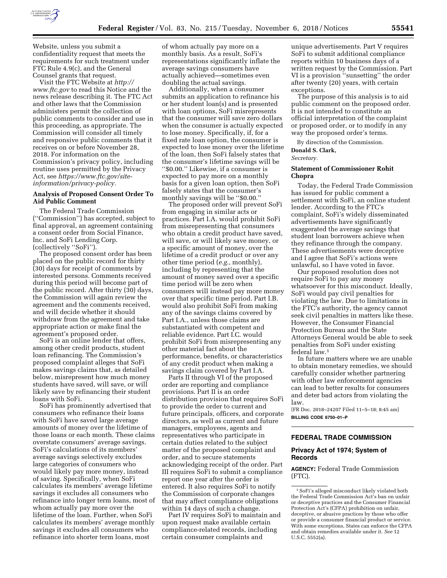

Website, unless you submit a confidentiality request that meets the requirements for such treatment under FTC Rule 4.9(c), and the General Counsel grants that request.

Visit the FTC Website at *[http://](http://www.ftc.gov) [www.ftc.gov](http://www.ftc.gov)* to read this Notice and the news release describing it. The FTC Act and other laws that the Commission administers permit the collection of public comments to consider and use in this proceeding, as appropriate. The Commission will consider all timely and responsive public comments that it receives on or before November 28, 2018. For information on the Commission's privacy policy, including routine uses permitted by the Privacy Act, see *[https://www.ftc.gov/site](https://www.ftc.gov/site-information/privacy-policy)[information/privacy-policy.](https://www.ftc.gov/site-information/privacy-policy)* 

### **Analysis of Proposed Consent Order To Aid Public Comment**

The Federal Trade Commission (''Commission'') has accepted, subject to final approval, an agreement containing a consent order from Social Finance, Inc. and SoFi Lending Corp. (collectively ''SoFi'').

The proposed consent order has been placed on the public record for thirty (30) days for receipt of comments by interested persons. Comments received during this period will become part of the public record. After thirty (30) days, the Commission will again review the agreement and the comments received, and will decide whether it should withdraw from the agreement and take appropriate action or make final the agreement's proposed order.

SoFi is an online lender that offers, among other credit products, student loan refinancing. The Commission's proposed complaint alleges that SoFi makes savings claims that, as detailed below, misrepresent how much money students have saved, will save, or will likely save by refinancing their student loans with SoFi.

SoFi has prominently advertised that consumers who refinance their loans with SoFi have saved large average amounts of money over the lifetime of those loans or each month. These claims overstate consumers' average savings. SoFi's calculations of its members' average savings selectively excludes large categories of consumers who would likely pay more money, instead of saving. Specifically, when SoFi calculates its members' average lifetime savings it excludes all consumers who refinance into longer term loans, most of whom actually pay more over the lifetime of the loan. Further, when SoFi calculates its members' average monthly savings it excludes all consumers who refinance into shorter term loans, most

of whom actually pay more on a monthly basis. As a result, SoFi's representations significantly inflate the average savings consumers have actually achieved—sometimes even doubling the actual savings.

Additionally, when a consumer submits an application to refinance his or her student loan(s) and is presented with loan options, SoFi misrepresents that the consumer will save zero dollars when the consumer is actually expected to lose money. Specifically, if, for a fixed rate loan option, the consumer is expected to lose money over the lifetime of the loan, then SoFi falsely states that the consumer's lifetime savings will be ''\$0.00.'' Likewise, if a consumer is expected to pay more on a monthly basis for a given loan option, then SoFi falsely states that the consumer's monthly savings will be ''\$0.00.''

The proposed order will prevent SoFi from engaging in similar acts or practices. Part I.A. would prohibit SoFi from misrepresenting that consumers who obtain a credit product have saved, will save, or will likely save money, or a specific amount of money, over the lifetime of a credit product or over any other time period (*e.g.,* monthly), including by representing that the amount of money saved over a specific time period will be zero when consumers will instead pay more money over that specific time period. Part I.B. would also prohibit SoFi from making any of the savings claims covered by Part I.A., unless those claims are substantiated with competent and reliable evidence. Part I.C. would prohibit SoFi from misrepresenting any other material fact about the performance, benefits, or characteristics of any credit product when making a savings claim covered by Part I.A.

Parts II through VI of the proposed order are reporting and compliance provisions. Part II is an order distribution provision that requires SoFi to provide the order to current and future principals, officers, and corporate directors, as well as current and future managers, employees, agents and representatives who participate in certain duties related to the subject matter of the proposed complaint and order, and to secure statements acknowledging receipt of the order. Part III requires SoFi to submit a compliance report one year after the order is entered. It also requires SoFi to notify the Commission of corporate changes that may affect compliance obligations within 14 days of such a change.

Part IV requires SoFi to maintain and upon request make available certain compliance-related records, including certain consumer complaints and

unique advertisements. Part V requires SoFi to submit additional compliance reports within 10 business days of a written request by the Commission. Part VI is a provision ''sunsetting'' the order after twenty (20) years, with certain exceptions.

The purpose of this analysis is to aid public comment on the proposed order. It is not intended to constitute an official interpretation of the complaint or proposed order, or to modify in any way the proposed order's terms.

## By direction of the Commission.

**Donald S. Clark,** 

*Secretary.* 

### **Statement of Commissioner Rohit Chopra**

Today, the Federal Trade Commission has issued for public comment a settlement with SoFi, an online student lender. According to the FTC's complaint, SoFi's widely disseminated advertisements have significantly exaggerated the average savings that student loan borrowers achieve when they refinance through the company. These advertisements were deceptive and I agree that SoFi's actions were unlawful, so I have voted in favor.

Our proposed resolution does not require SoFi to pay any money whatsoever for this misconduct. Ideally, SoFi would pay civil penalties for violating the law. Due to limitations in the FTC's authority, the agency cannot seek civil penalties in matters like these. However, the Consumer Financial Protection Bureau and the State Attorneys General would be able to seek penalties from SoFi under existing federal law.1

In future matters where we are unable to obtain monetary remedies, we should carefully consider whether partnering with other law enforcement agencies can lead to better results for consumers and deter bad actors from violating the law.

[FR Doc. 2018–24207 Filed 11–5–18; 8:45 am] **BILLING CODE 6750–01–P** 

# **FEDERAL TRADE COMMISSION**

## **Privacy Act of 1974; System of Records**

**AGENCY:** Federal Trade Commission (FTC).

<sup>1</sup>SoFi's alleged misconduct likely violated both the Federal Trade Commission Act's ban on unfair or deceptive practices and the Consumer Financial Protection Act's (CFPA) prohibition on unfair, deceptive, or abusive practices by those who offer or provide a consumer financial product or service. With some exceptions, States can enforce the CFPA and obtain remedies available under it. *See* 12 U.S.C. 5552(a).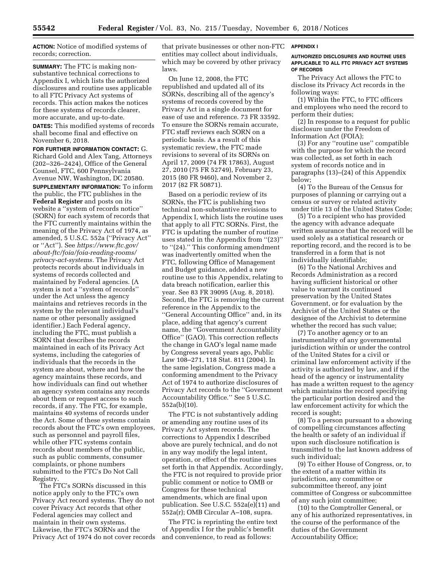**ACTION:** Notice of modified systems of records; correction.

**SUMMARY:** The FTC is making nonsubstantive technical corrections to Appendix I, which lists the authorized disclosures and routine uses applicable to all FTC Privacy Act systems of records. This action makes the notices for these systems of records clearer, more accurate, and up-to-date.

**DATES:** This modified systems of records shall become final and effective on November 6, 2018.

**FOR FURTHER INFORMATION CONTACT:** G. Richard Gold and Alex Tang, Attorneys (202–326–2424), Office of the General Counsel, FTC, 600 Pennsylvania Avenue NW, Washington, DC 20580.

**SUPPLEMENTARY INFORMATION:** To inform the public, the FTC publishes in the **Federal Register** and posts on its website a ''system of records notice'' (SORN) for each system of records that the FTC currently maintains within the meaning of the Privacy Act of 1974, as amended, 5 U.S.C. 552a (''Privacy Act'' or ''Act''). See *[https://www.ftc.gov/](https://www.ftc.gov/about-ftc/foia/foia-reading-rooms/privacy-act-systems)  [about-ftc/foia/foia-reading-rooms/](https://www.ftc.gov/about-ftc/foia/foia-reading-rooms/privacy-act-systems) [privacy-act-systems.](https://www.ftc.gov/about-ftc/foia/foia-reading-rooms/privacy-act-systems)* The Privacy Act protects records about individuals in systems of records collected and maintained by Federal agencies. (A system is not a ''system of records'' under the Act unless the agency maintains and retrieves records in the system by the relevant individual's name or other personally assigned identifier.) Each Federal agency, including the FTC, must publish a SORN that describes the records maintained in each of its Privacy Act systems, including the categories of individuals that the records in the system are about, where and how the agency maintains these records, and how individuals can find out whether an agency system contains any records about them or request access to such records, if any. The FTC, for example, maintains 40 systems of records under the Act. Some of these systems contain records about the FTC's own employees, such as personnel and payroll files, while other FTC systems contain records about members of the public, such as public comments, consumer complaints, or phone numbers submitted to the FTC's Do Not Call Registry.

The FTC's SORNs discussed in this notice apply only to the FTC's own Privacy Act record systems. They do not cover Privacy Act records that other Federal agencies may collect and maintain in their own systems. Likewise, the FTC's SORNs and the Privacy Act of 1974 do not cover records that private businesses or other non-FTC entities may collect about individuals, which may be covered by other privacy laws.

On June 12, 2008, the FTC republished and updated all of its SORNs, describing all of the agency's systems of records covered by the Privacy Act in a single document for ease of use and reference. 73 FR 33592. To ensure the SORNs remain accurate, FTC staff reviews each SORN on a periodic basis. As a result of this systematic review, the FTC made revisions to several of its SORNs on April 17, 2009 (74 FR 17863), August 27, 2010 (75 FR 52749), February 23, 2015 (80 FR 9460), and November 2, 2017 (82 FR 50871).

Based on a periodic review of its SORNs, the FTC is publishing two technical non-substantive revisions to Appendix I, which lists the routine uses that apply to all FTC SORNs. First, the FTC is updating the number of routine uses stated in the Appendix from ''(23)'' to ''(24).'' This conforming amendment was inadvertently omitted when the FTC, following Office of Management and Budget guidance, added a new routine use to this Appendix, relating to data breach notification, earlier this year. See 83 FR 39095 (Aug. 8, 2018). Second, the FTC is removing the current reference in the Appendix to the ''General Accounting Office'' and, in its place, adding that agency's current name, the ''Government Accountability Office'' (GAO). This correction reflects the change in GAO's legal name made by Congress several years ago, Public Law 108–271, 118 Stat. 811 (2004). In the same legislation, Congress made a conforming amendment to the Privacy Act of 1974 to authorize disclosures of Privacy Act records to the ''Government Accountability Office.'' See 5 U.S.C. 552a(b)(10).

The FTC is not substantively adding or amending any routine uses of its Privacy Act system records. The corrections to Appendix I described above are purely technical, and do not in any way modify the legal intent, operation, or effect of the routine uses set forth in that Appendix. Accordingly, the FTC is not required to provide prior public comment or notice to OMB or Congress for these technical amendments, which are final upon publication. See U.S.C. 552a(e)(11) and 552a(r); OMB Circular A–108, supra.

The FTC is reprinting the entire text of Appendix I for the public's benefit and convenience, to read as follows:

#### **APPENDIX I**

### **AUTHORIZED DISCLOSURES AND ROUTINE USES APPLICABLE TO ALL FTC PRIVACY ACT SYSTEMS OF RECORDS**

The Privacy Act allows the FTC to disclose its Privacy Act records in the following ways:

(1) Within the FTC, to FTC officers and employees who need the record to perform their duties;

(2) In response to a request for public disclosure under the Freedom of Information Act (FOIA);

(3) For any ''routine use'' compatible with the purpose for which the record was collected, as set forth in each system of records notice and in paragraphs (13)–(24) of this Appendix below;

(4) To the Bureau of the Census for purposes of planning or carrying out a census or survey or related activity under title 13 of the United States Code;

(5) To a recipient who has provided the agency with advance adequate written assurance that the record will be used solely as a statistical research or reporting record, and the record is to be transferred in a form that is not individually identifiable;

(6) To the National Archives and Records Administration as a record having sufficient historical or other value to warrant its continued preservation by the United States Government, or for evaluation by the Archivist of the United States or the designee of the Archivist to determine whether the record has such value;

(7) To another agency or to an instrumentality of any governmental jurisdiction within or under the control of the United States for a civil or criminal law enforcement activity if the activity is authorized by law, and if the head of the agency or instrumentality has made a written request to the agency which maintains the record specifying the particular portion desired and the law enforcement activity for which the record is sought;

(8) To a person pursuant to a showing of compelling circumstances affecting the health or safety of an individual if upon such disclosure notification is transmitted to the last known address of such individual;

(9) To either House of Congress, or, to the extent of a matter within its jurisdiction, any committee or subcommittee thereof, any joint committee of Congress or subcommittee of any such joint committee;

(10) to the Comptroller General, or any of his authorized representatives, in the course of the performance of the duties of the Government Accountability Office;